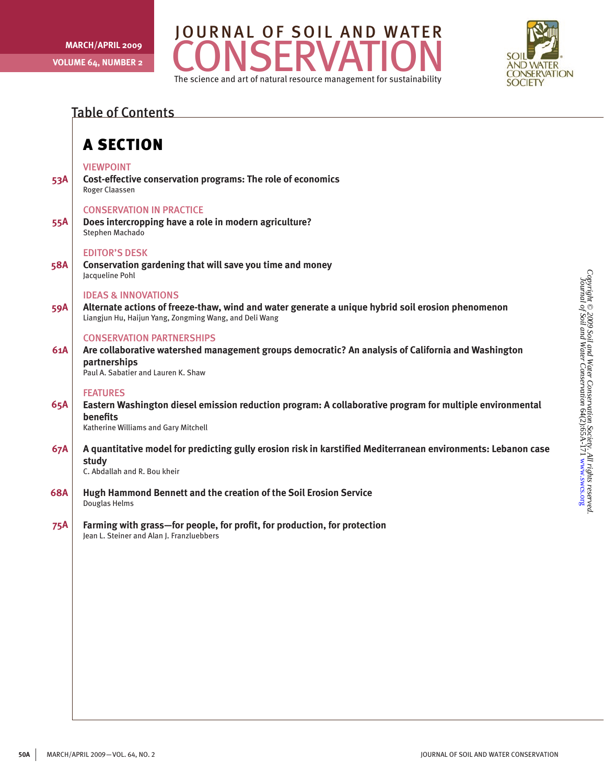



### Table of Contents

### A Section

#### **VIEWPOINT**

**53A Cost-effective conservation programs: The role of economics** Roger Claassen

#### Conservation in practice

**55A Does intercropping have a role in modern agriculture?** Stephen Machado

#### Editor's Desk

**58A Conservation gardening that will save you time and money** Jacqueline Pohl

#### Ideas & Innovations

**59A Alternate actions of freeze-thaw, wind and water generate a unique hybrid soil erosion phenomenon** Liangjun Hu, Haijun Yang, Zongming Wang, and Deli Wang

#### Conservation Partnerships

**61A Are collaborative watershed management groups democratic? An analysis of California and Washington partnerships**

Paul A. Sabatier and Lauren K. Shaw

#### **FEATURES**

**65A Eastern Washington diesel emission reduction program: A collaborative program for multiple environmental benefits**

Katherine Williams and Gary Mitchell

**67A A quantitative model for predicting gully erosion risk in karstified Mediterranean environments: Lebanon case study**

C. Abdallah and R. Bou kheir

- **68A Hugh Hammond Bennett and the creation of the Soil Erosion Service** Douglas Helms
- **75A Farming with grass—for people, for profit, for production, for protection** Jean L. Steiner and Alan J. Franzluebbers